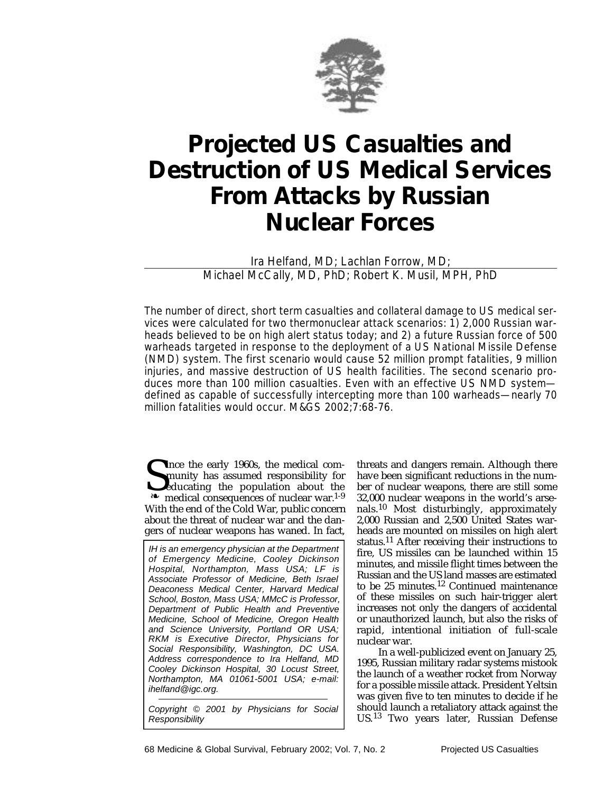

# **Projected US Casualties and Destruction of US Medical Services From Attacks by Russian Nuclear Forces**

Ira Helfand, MD; Lachlan Forrow, MD; Michael McCally, MD, PhD; Robert K. Musil, MPH, PhD

The number of direct, short term casualties and collateral damage to US medical services were calculated for two thermonuclear attack scenarios: 1) 2,000 Russian warheads believed to be on high alert status today; and 2) a future Russian force of 500 warheads targeted in response to the deployment of a US National Missile Defense (NMD) system. The first scenario would cause 52 million prompt fatalities, 9 million injuries, and massive destruction of US health facilities. The second scenario produces more than 100 million casualties. Even with an effective US NMD system defined as capable of successfully intercepting more than 100 warheads—nearly 70 million fatalities would occur. M&GS 2002;7:68-76.

Since the early 1960s, the medical community has assumed responsibility for educating the population about the war.<sup>1-9</sup> **I** ince the early 1960s, the medical community has assumed responsibility for educating the population about the With the end of the Cold War, public concern about the threat of nuclear war and the dangers of nuclear weapons has waned. In fact,

IH is an emergency physician at the Department of Emergency Medicine, Cooley Dickinson Hospital, Northampton, Mass USA; LF is Associate Professor of Medicine, Beth Israel Deaconess Medical Center, Harvard Medical School, Boston, Mass USA; MMcC is Professor, Department of Public Health and Preventive Medicine, School of Medicine, Oregon Health and Science University, Portland OR USA; RKM is Executive Director, Physicians for Social Responsibility, Washington, DC USA. Address correspondence to Ira Helfand, MD Cooley Dickinson Hospital, 30 Locust Street, Northampton, MA 01061-5001 USA; e-mail: ihelfand@igc.org.

Copyright © 2001 by Physicians for Social Responsibility

threats and dangers remain. Although there have been significant reductions in the number of nuclear weapons, there are still some 32,000 nuclear weapons in the world's arsenals.<sup>10</sup> Most disturbingly, approximately 2,000 Russian and 2,500 United States warheads are mounted on missiles on high alert status.11 After receiving their instructions to fire, US missiles can be launched within 15 minutes, and missile flight times between the Russian and the US land masses are estimated to be 25 minutes.12 Continued maintenance of these missiles on such hair-trigger alert increases not only the dangers of accidental or unauthorized launch, but also the risks of rapid, intentional initiation of full-scale nuclear war.

In a well-publicized event on January 25, 1995, Russian military radar systems mistook the launch of a weather rocket from Norway for a possible missile attack. President Yeltsin was given five to ten minutes to decide if he should launch a retaliatory attack against the US.<sup>13</sup> Two years later, Russian Defense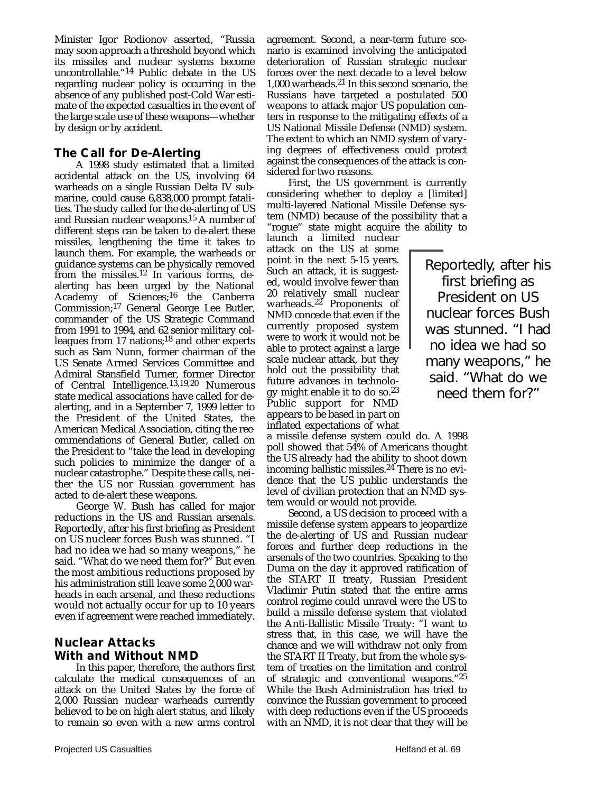Minister Igor Rodionov asserted, "Russia may soon approach a threshold beyond which its missiles and nuclear systems become uncontrollable."<sup>14</sup> Public debate in the US regarding nuclear policy is occurring in the absence of any published post-Cold War estimate of the expected casualties in the event of the large scale use of these weapons—whether by design or by accident.

## **The Call for De-Alerting**

A 1998 study estimated that a limited accidental attack on the US, involving 64 warheads on a single Russian Delta IV submarine, could cause 6,838,000 prompt fatalities. The study called for the de-alerting of US and Russian nuclear weapons.15 A number of different steps can be taken to de-alert these missiles, lengthening the time it takes to launch them. For example, the warheads or guidance systems can be physically removed from the missiles.12 In various forms, dealerting has been urged by the National Academy of Sciences;<sup>16</sup> the Canberra Commission;17 General George Lee Butler, commander of the US Strategic Command from 1991 to 1994, and 62 senior military colleagues from 17 nations;18 and other experts such as Sam Nunn, former chairman of the US Senate Armed Services Committee and Admiral Stansfield Turner, former Director of Central Intelligence.<sup>13,19,20</sup> Numerous state medical associations have called for dealerting, and in a September 7, 1999 letter to the President of the United States, the American Medical Association, citing the recommendations of General Butler, called on the President to "take the lead in developing such policies to minimize the danger of a nuclear catastrophe." Despite these calls, neither the US nor Russian government has acted to de-alert these weapons.

George W. Bush has called for major reductions in the US and Russian arsenals. Reportedly, after his first briefing as President on US nuclear forces Bush was stunned. "I had no idea we had so many weapons," he said. "What do we need them for?" But even the most ambitious reductions proposed by his administration still leave some 2,000 warheads in each arsenal, and these reductions would not actually occur for up to 10 years even if agreement were reached immediately.

# **Nuclear Attacks With and Without NMD**

In this paper, therefore, the authors first calculate the medical consequences of an attack on the United States by the force of 2,000 Russian nuclear warheads currently believed to be on high alert status, and likely to remain so even with a new arms control

agreement. Second, a near-term future scenario is examined involving the anticipated deterioration of Russian strategic nuclear forces over the next decade to a level below 1,000 warheads.21 In this second scenario, the Russians have targeted a postulated 500 weapons to attack major US population centers in response to the mitigating effects of a US National Missile Defense (NMD) system. The extent to which an NMD system of varying degrees of effectiveness could protect against the consequences of the attack is considered for two reasons.

First, the US government is currently considering whether to deploy a [limited] multi-layered National Missile Defense system (NMD) because of the possibility that a "rogue" state might acquire the ability to

launch a limited nuclear attack on the US at some point in the next 5-15 years. Such an attack, it is suggested, would involve fewer than 20 relatively small nuclear warheads. $22$  Proponents of NMD concede that even if the currently proposed system were to work it would not be able to protect against a large scale nuclear attack, but they hold out the possibility that future advances in technology might enable it to do so.23 Public support for NMD appears to be based in part on inflated expectations of what

a missile defense system could do. A 1998 poll showed that 54% of Americans thought the US already had the ability to shoot down incoming ballistic missiles.<sup>24</sup> There is no evidence that the US public understands the level of civilian protection that an NMD system would or would not provide.

Second, a US decision to proceed with a missile defense system appears to jeopardize the de-alerting of US and Russian nuclear forces and further deep reductions in the arsenals of the two countries. Speaking to the Duma on the day it approved ratification of the START II treaty, Russian President Vladimir Putin stated that the entire arms control regime could unravel were the US to build a missile defense system that violated the Anti-Ballistic Missile Treaty: "I want to stress that, in this case, we will have the chance and we will withdraw not only from the START II Treaty, but from the whole system of treaties on the limitation and control of strategic and conventional weapons."25 While the Bush Administration has tried to convince the Russian government to proceed with deep reductions even if the US proceeds with an NMD, it is not clear that they will be

Reportedly, after his first briefing as President on US nuclear forces Bush was stunned. "I had no idea we had so many weapons," he said. "What do we need them for?"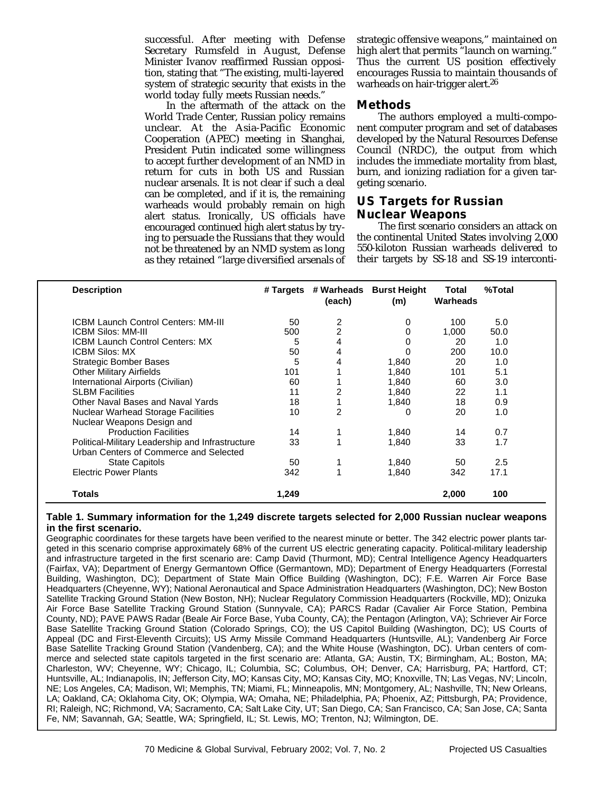successful. After meeting with Defense Secretary Rumsfeld in August, Defense Minister Ivanov reaffirmed Russian opposition, stating that "The existing, multi-layered system of strategic security that exists in the world today fully meets Russian needs."

In the aftermath of the attack on the World Trade Center, Russian policy remains unclear. At the Asia-Pacific Economic Cooperation (APEC) meeting in Shanghai, President Putin indicated some willingness to accept further development of an NMD in return for cuts in both US and Russian nuclear arsenals. It is not clear if such a deal can be completed, and if it is, the remaining warheads would probably remain on high alert status. Ironically, US officials have encouraged continued high alert status by trying to persuade the Russians that they would not be threatened by an NMD system as long as they retained "large diversified arsenals of

strategic offensive weapons," maintained on high alert that permits "launch on warning." Thus the current US position effectively encourages Russia to maintain thousands of warheads on hair-trigger alert.<sup>26</sup>

#### **Methods**

The authors employed a multi-component computer program and set of databases developed by the Natural Resources Defense Council (NRDC), the output from which includes the immediate mortality from blast, burn, and ionizing radiation for a given targeting scenario.

## **US Targets for Russian Nuclear Weapons**

The first scenario considers an attack on the continental United States involving 2,000 550-kiloton Russian warheads delivered to their targets by SS-18 and SS-19 interconti-

| <b>Description</b>                               |       | (each) | # Targets # Warheads Burst Height<br>(m) | Total<br>Warheads | %Total |  |
|--------------------------------------------------|-------|--------|------------------------------------------|-------------------|--------|--|
| <b>ICBM Launch Control Centers: MM-III</b>       | 50    | 2      | 0                                        | 100               | 5.0    |  |
| ICBM Silos: MM-III                               | 500   | 2      | 0                                        | 1,000             | 50.0   |  |
| <b>ICBM Launch Control Centers: MX</b>           | 5     | 4      |                                          | 20                | 1.0    |  |
| <b>ICBM Silos: MX</b>                            | 50    | 4      | 0                                        | 200               | 10.0   |  |
| <b>Strategic Bomber Bases</b>                    | 5     | 4      | 1,840                                    | 20                | 1.0    |  |
| <b>Other Military Airfields</b>                  | 101   |        | 1.840                                    | 101               | 5.1    |  |
| International Airports (Civilian)                | 60    |        | 1.840                                    | 60                | 3.0    |  |
| <b>SLBM Facilities</b>                           | 11    | 2      | 1,840                                    | 22                | 1.1    |  |
| Other Naval Bases and Naval Yards                | 18    |        | 1,840                                    | 18                | 0.9    |  |
| <b>Nuclear Warhead Storage Facilities</b>        | 10    | 2      | 0                                        | 20                | 1.0    |  |
| Nuclear Weapons Design and                       |       |        |                                          |                   |        |  |
| <b>Production Facilities</b>                     | 14    |        | 1,840                                    | 14                | 0.7    |  |
| Political-Military Leadership and Infrastructure | 33    |        | 1.840                                    | 33                | 1.7    |  |
| Urban Centers of Commerce and Selected           |       |        |                                          |                   |        |  |
| <b>State Capitols</b>                            | 50    |        | 1,840                                    | 50                | 2.5    |  |
| <b>Electric Power Plants</b>                     | 342   |        | 1.840                                    | 342               | 17.1   |  |
| <b>Totals</b>                                    | 1.249 |        |                                          | 2.000             | 100    |  |
|                                                  |       |        |                                          |                   |        |  |

#### **Table 1. Summary information for the 1,249 discrete targets selected for 2,000 Russian nuclear weapons in the first scenario.**

Geographic coordinates for these targets have been verified to the nearest minute or better. The 342 electric power plants targeted in this scenario comprise approximately 68% of the current US electric generating capacity. Political-military leadership and infrastructure targeted in the first scenario are: Camp David (Thurmont, MD); Central Intelligence Agency Headquarters (Fairfax, VA); Department of Energy Germantown Office (Germantown, MD); Department of Energy Headquarters (Forrestal Building, Washington, DC); Department of State Main Office Building (Washington, DC); F.E. Warren Air Force Base Headquarters (Cheyenne, WY); National Aeronautical and Space Administration Headquarters (Washington, DC); New Boston Satellite Tracking Ground Station (New Boston, NH); Nuclear Regulatory Commission Headquarters (Rockville, MD); Onizuka Air Force Base Satellite Tracking Ground Station (Sunnyvale, CA); PARCS Radar (Cavalier Air Force Station, Pembina County, ND); PAVE PAWS Radar (Beale Air Force Base, Yuba County, CA); the Pentagon (Arlington, VA); Schriever Air Force Base Satellite Tracking Ground Station (Colorado Springs, CO); the US Capitol Building (Washington, DC); US Courts of Appeal (DC and First-Eleventh Circuits); US Army Missile Command Headquarters (Huntsville, AL); Vandenberg Air Force Base Satellite Tracking Ground Station (Vandenberg, CA); and the White House (Washington, DC). Urban centers of commerce and selected state capitols targeted in the first scenario are: Atlanta, GA; Austin, TX; Birmingham, AL; Boston, MA; Charleston, WV; Cheyenne, WY; Chicago, IL; Columbia, SC; Columbus, OH; Denver, CA; Harrisburg, PA; Hartford, CT; Huntsville, AL; Indianapolis, IN; Jefferson City, MO; Kansas City, MO; Kansas City, MO; Knoxville, TN; Las Vegas, NV; Lincoln, NE; Los Angeles, CA; Madison, WI; Memphis, TN; Miami, FL; Minneapolis, MN; Montgomery, AL; Nashville, TN; New Orleans, LA; Oakland, CA; Oklahoma City, OK; Olympia, WA; Omaha, NE; Philadelphia, PA; Phoenix, AZ; Pittsburgh, PA; Providence, RI; Raleigh, NC; Richmond, VA; Sacramento, CA; Salt Lake City, UT; San Diego, CA; San Francisco, CA; San Jose, CA; Santa Fe, NM; Savannah, GA; Seattle, WA; Springfield, IL; St. Lewis, MO; Trenton, NJ; Wilmington, DE.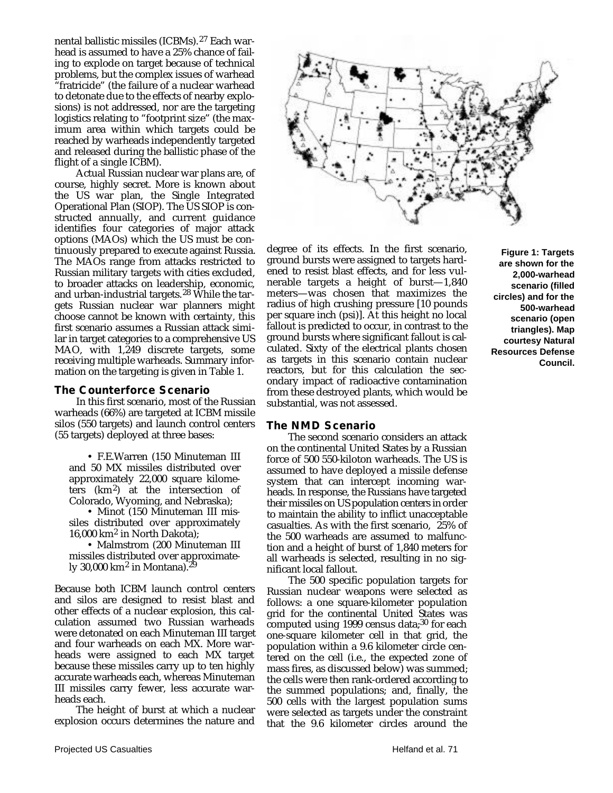nental ballistic missiles (ICBMs).27 Each warhead is assumed to have a 25% chance of failing to explode on target because of technical problems, but the complex issues of warhead "fratricide" (the failure of a nuclear warhead to detonate due to the effects of nearby explosions) is not addressed, nor are the targeting logistics relating to "footprint size" (the maximum area within which targets could be reached by warheads independently targeted and released during the ballistic phase of the flight of a single ICBM).

Actual Russian nuclear war plans are, of course, highly secret. More is known about the US war plan, the Single Integrated Operational Plan (SIOP). The US SIOP is constructed annually, and current guidance identifies four categories of major attack options (MAOs) which the US must be continuously prepared to execute against Russia. The MAOs range from attacks restricted to Russian military targets with cities excluded, to broader attacks on leadership, economic, and urban-industrial targets.28 While the targets Russian nuclear war planners might choose cannot be known with certainty, this first scenario assumes a Russian attack similar in target categories to a comprehensive US MAO, with 1,249 discrete targets, some receiving multiple warheads. Summary information on the targeting is given in Table 1.

#### **The Counterforce Scenario**

In this first scenario, most of the Russian warheads (66%) are targeted at ICBM missile silos (550 targets) and launch control centers (55 targets) deployed at three bases:

• F.E.Warren (150 Minuteman III and 50 MX missiles distributed over approximately 22,000 square kilometers (km2) at the intersection of Colorado, Wyoming, and Nebraska);

• Minot (150 Minuteman III missiles distributed over approximately 16,000 km2 in North Dakota);

• Malmstrom (200 Minuteman III missiles distributed over approximately 30,000 km2 in Montana).29

Because both ICBM launch control centers and silos are designed to resist blast and other effects of a nuclear explosion, this calculation assumed two Russian warheads were detonated on each Minuteman III target and four warheads on each MX. More warheads were assigned to each MX target because these missiles carry up to ten highly accurate warheads each, whereas Minuteman III missiles carry fewer, less accurate warheads each.

The height of burst at which a nuclear explosion occurs determines the nature and



degree of its effects. In the first scenario, ground bursts were assigned to targets hardened to resist blast effects, and for less vulnerable targets a height of burst—1,840 meters—was chosen that maximizes the radius of high crushing pressure [10 pounds per square inch (psi)]. At this height no local fallout is predicted to occur, in contrast to the ground bursts where significant fallout is calculated. Sixty of the electrical plants chosen as targets in this scenario contain nuclear reactors, but for this calculation the secondary impact of radioactive contamination from these destroyed plants, which would be substantial, was not assessed.

#### **The NMD Scenario**

The second scenario considers an attack on the continental United States by a Russian force of 500 550-kiloton warheads. The US is assumed to have deployed a missile defense system that can intercept incoming warheads. In response, the Russians have targeted their missiles on US population centers in order to maintain the ability to inflict unacceptable casualties. As with the first scenario, 25% of the 500 warheads are assumed to malfunction and a height of burst of 1,840 meters for all warheads is selected, resulting in no significant local fallout.

The 500 specific population targets for Russian nuclear weapons were selected as follows: a one square-kilometer population grid for the continental United States was computed using 1999 census data; $30$  for each one-square kilometer cell in that grid, the population within a 9.6 kilometer circle centered on the cell (i.e., the expected zone of mass fires, as discussed below) was summed; the cells were then rank-ordered according to the summed populations; and, finally, the 500 cells with the largest population sums were selected as targets under the constraint that the 9.6 kilometer circles around the

**Figure 1: Targets are shown for the 2,000-warhead scenario (filled circles) and for the 500-warhead scenario (open triangles). Map courtesy Natural Resources Defense Council.**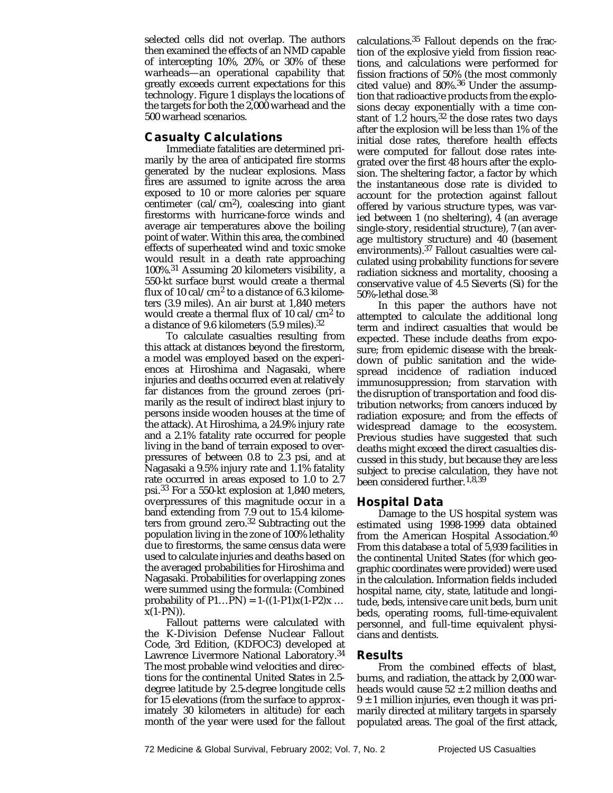selected cells did not overlap. The authors then examined the effects of an NMD capable of intercepting 10%, 20%, or 30% of these warheads—an operational capability that greatly exceeds current expectations for this technology. Figure 1 displays the locations of the targets for both the 2,000 warhead and the 500 warhead scenarios.

## **Casualty Calculations**

Immediate fatalities are determined primarily by the area of anticipated fire storms generated by the nuclear explosions. Mass fires are assumed to ignite across the area exposed to 10 or more calories per square centimeter (cal/cm<sup>2</sup>), coalescing into giant firestorms with hurricane-force winds and average air temperatures above the boiling point of water. Within this area, the combined effects of superheated wind and toxic smoke would result in a death rate approaching 100%.31 Assuming 20 kilometers visibility, a 550-kt surface burst would create a thermal flux of 10 cal/cm<sup>2</sup> to a distance of 6.3 kilometers (3.9 miles). An air burst at 1,840 meters would create a thermal flux of 10 cal/cm2 to a distance of 9.6 kilometers (5.9 miles).32

To calculate casualties resulting from this attack at distances beyond the firestorm, a model was employed based on the experiences at Hiroshima and Nagasaki, where injuries and deaths occurred even at relatively far distances from the ground zeroes (primarily as the result of indirect blast injury to persons inside wooden houses at the time of the attack). At Hiroshima, a 24.9% injury rate and a 2.1% fatality rate occurred for people living in the band of terrain exposed to overpressures of between 0.8 to 2.3 psi, and at Nagasaki a 9.5% injury rate and 1.1% fatality rate occurred in areas exposed to 1.0 to 2.7 psi.33 For a 550-kt explosion at 1,840 meters, overpressures of this magnitude occur in a band extending from 7.9 out to 15.4 kilometers from ground zero.32 Subtracting out the population living in the zone of 100% lethality due to firestorms, the same census data were used to calculate injuries and deaths based on the averaged probabilities for Hiroshima and Nagasaki. Probabilities for overlapping zones were summed using the formula: (Combined probability of  $P1...PN$ ) = 1-((1-P1)x(1-P2)x ...  $x(1-PN)$ ).

Fallout patterns were calculated with the K-Division Defense Nuclear Fallout Code, 3rd Edition, (KDFOC3) developed at Lawrence Livermore National Laboratory.34 The most probable wind velocities and directions for the continental United States in 2.5 degree latitude by 2.5-degree longitude cells for 15 elevations (from the surface to approximately 30 kilometers in altitude) for each month of the year were used for the fallout

calculations.35 Fallout depends on the fraction of the explosive yield from fission reactions, and calculations were performed for fission fractions of 50% (the most commonly cited value) and 80%.36 Under the assumption that radioactive products from the explosions decay exponentially with a time constant of 1.2 hours,  $32$  the dose rates two days after the explosion will be less than 1% of the initial dose rates, therefore health effects were computed for fallout dose rates integrated over the first 48 hours after the explosion. The sheltering factor, a factor by which the instantaneous dose rate is divided to account for the protection against fallout offered by various structure types, was varied between 1 (no sheltering), 4 (an average single-story, residential structure), 7 (an average multistory structure) and 40 (basement environments).37 Fallout casualties were calculated using probability functions for severe radiation sickness and mortality, choosing a conservative value of 4.5 Sieverts (Si) for the 50%-lethal dose.38

In this paper the authors have not attempted to calculate the additional long term and indirect casualties that would be expected. These include deaths from exposure; from epidemic disease with the breakdown of public sanitation and the widespread incidence of radiation induced immunosuppression; from starvation with the disruption of transportation and food distribution networks; from cancers induced by radiation exposure; and from the effects of widespread damage to the ecosystem. Previous studies have suggested that such deaths might exceed the direct casualties discussed in this study, but because they are less subject to precise calculation, they have not been considered further.<sup>1,8,39</sup>

## **Hospital Data**

Damage to the US hospital system was estimated using 1998-1999 data obtained from the American Hospital Association.40 From this database a total of 5,939 facilities in the continental United States (for which geographic coordinates were provided) were used in the calculation. Information fields included hospital name, city, state, latitude and longitude, beds, intensive care unit beds, burn unit beds, operating rooms, full-time-equivalent personnel, and full-time equivalent physicians and dentists.

## **Results**

From the combined effects of blast, burns, and radiation, the attack by 2,000 warheads would cause  $52 \pm 2$  million deaths and  $9 \pm 1$  million injuries, even though it was primarily directed at military targets in sparsely populated areas. The goal of the first attack,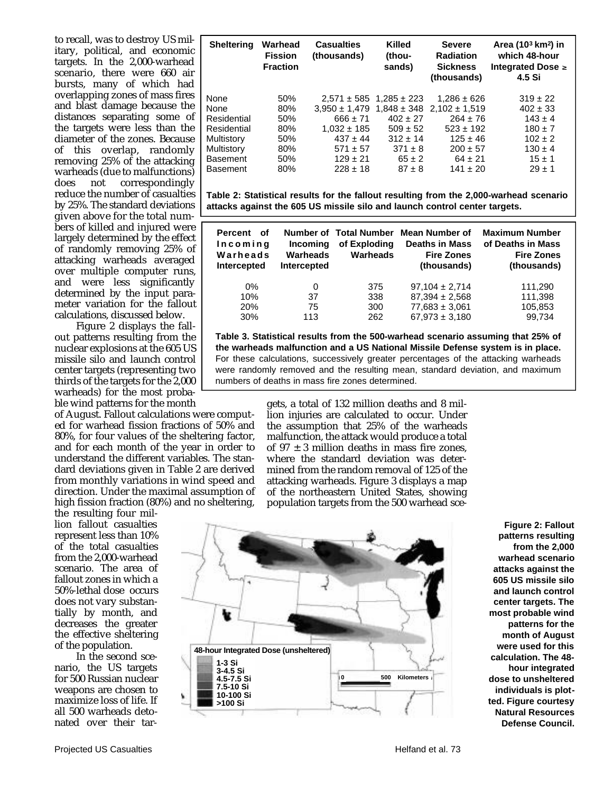to recall, was to destroy US military, political, and economic targets. In the 2,000-warhead scenario, there were 660 air bursts, many of which had overlapping zones of mass fires and blast damage because the distances separating some of the targets were less than the diameter of the zones. Because of this overlap, randomly removing 25% of the attacking warheads (due to malfunctions)<br>does not correspondingly correspondingly reduce the number of casualties by 25%. The standard deviations given above for the total numbers of killed and injured were largely determined by the effect of randomly removing 25% of attacking warheads averaged over multiple computer runs, and were less significantly determined by the input parameter variation for the fallout calculations, discussed below.

Figure 2 displays the fallout patterns resulting from the nuclear explosions at the 605 US missile silo and launch control center targets (representing two thirds of the targets for the 2,000 warheads) for the most probable wind patterns for the month

of August. Fallout calculations were computed for warhead fission fractions of 50% and 80%, for four values of the sheltering factor, and for each month of the year in order to understand the different variables. The standard deviations given in Table 2 are derived from monthly variations in wind speed and direction. Under the maximal assumption of high fission fraction (80%) and no sheltering,

the resulting four million fallout casualties represent less than 10% of the total casualties from the 2,000-warhead scenario. The area of fallout zones in which a 50%-lethal dose occurs does not vary substantially by month, and decreases the greater the effective sheltering of the population.

In the second scenario, the US targets for 500 Russian nuclear weapons are chosen to maximize loss of life. If all 500 warheads detonated over their tar-

| <b>Sheltering</b> | Warhead<br><b>Fission</b><br><b>Fraction</b> | <b>Casualties</b><br>(thousands) | <b>Killed</b><br>(thou-<br>sands) | <b>Severe</b><br><b>Radiation</b><br><b>Sickness</b><br>(thousands) | Area (10 <sup>3</sup> km <sup>2</sup> ) in<br>which 48-hour<br>Integrated Dose $\geq$<br>4.5 Si |
|-------------------|----------------------------------------------|----------------------------------|-----------------------------------|---------------------------------------------------------------------|-------------------------------------------------------------------------------------------------|
| None              | 50%                                          |                                  | $2.571 \pm 585$ 1.285 $\pm$ 223   | $1.286 \pm 626$                                                     | $319 \pm 22$                                                                                    |
| None              | 80%                                          |                                  |                                   | $3.950 \pm 1.479$ $1.848 \pm 348$ $2.102 \pm 1.519$                 | $402 \pm 33$                                                                                    |
| Residential       | 50%                                          | $666 + 71$                       | $402 + 27$                        | $264 + 76$                                                          | $143 + 4$                                                                                       |
| Residential       | 80%                                          | $1.032 \pm 185$                  | $509 \pm 52$                      | $523 \pm 192$                                                       | $180 \pm 7$                                                                                     |
| Multistory        | 50%                                          | $437 \pm 44$                     | $312 \pm 14$                      | $125 \pm 46$                                                        | $102 \pm 2$                                                                                     |
| Multistory        | 80%                                          | $571 + 57$                       | $.371 + 8$                        | $200 + 57$                                                          | $130 \pm 4$                                                                                     |
| <b>Basement</b>   | 50%                                          | $129 \pm 21$                     | $65 \pm 2$                        | $64 \pm 21$                                                         | $15 \pm 1$                                                                                      |
| <b>Basement</b>   | 80%                                          | $228 \pm 18$                     | $87 + 8$                          | $141 + 20$                                                          | $29 \pm 1$                                                                                      |

**Table 2: Statistical results for the fallout resulting from the 2,000-warhead scenario attacks against the 605 US missile silo and launch control center targets.**

| Percent<br>of<br>Incoming<br>Warheads<br>Intercepted | <b>Incoming</b><br>Warheads<br><b>Intercepted</b> | Number of Total Number<br>of Exploding<br><b>Warheads</b> | Mean Number of<br><b>Deaths in Mass</b><br><b>Fire Zones</b><br>(thousands) | <b>Maximum Number</b><br>of Deaths in Mass<br><b>Fire Zones</b><br>(thousands) |
|------------------------------------------------------|---------------------------------------------------|-----------------------------------------------------------|-----------------------------------------------------------------------------|--------------------------------------------------------------------------------|
| $0\%$                                                | 0                                                 | 375                                                       | $97,104 \pm 2,714$                                                          | 111,290                                                                        |
| 10%                                                  | 37                                                | 338                                                       | $87,394 \pm 2,568$                                                          | 111,398                                                                        |
| 20%                                                  | 75                                                | 300                                                       | $77,683 \pm 3,061$                                                          | 105,853                                                                        |
| 30%                                                  | 113                                               | 262                                                       | $67,973 \pm 3,180$                                                          | 99,734                                                                         |

**Table 3. Statistical results from the 500-warhead scenario assuming that 25% of the warheads malfunction and a US National Missile Defense system is in place.** For these calculations, successively greater percentages of the attacking warheads were randomly removed and the resulting mean, standard deviation, and maximum numbers of deaths in mass fire zones determined.

> gets, a total of 132 million deaths and 8 million injuries are calculated to occur. Under the assumption that 25% of the warheads malfunction, the attack would produce a total of  $97 \pm 3$  million deaths in mass fire zones. where the standard deviation was determined from the random removal of 125 of the attacking warheads. Figure 3 displays a map of the northeastern United States, showing population targets from the 500 warhead sce-



**Figure 2: Fallout patterns resulting from the 2,000 warhead scenario attacks against the 605 US missile silo and launch control center targets. The most probable wind patterns for the month of August were used for this calculation. The 48 hour integrated dose to unsheltered individuals is plotted. Figure courtesy Natural Resources Defense Council.**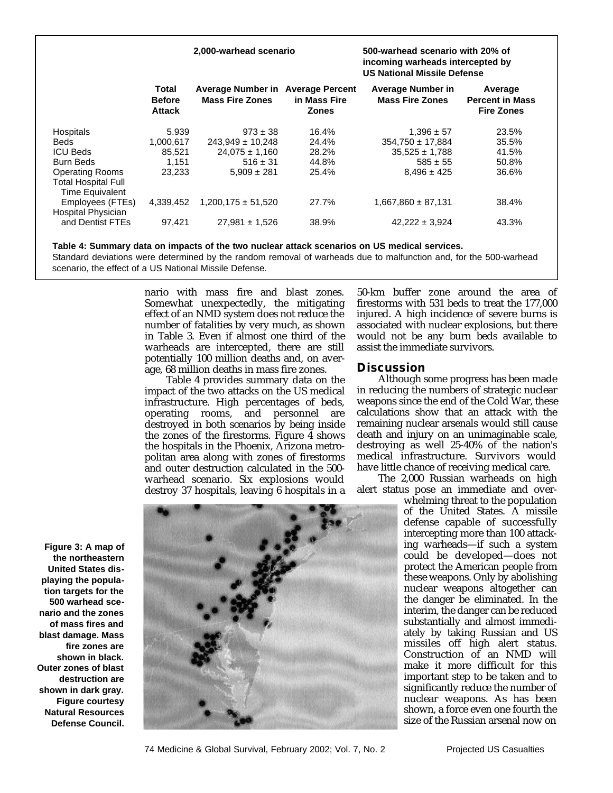#### **2,000-warhead scenario**

#### **500-warhead scenario with 20% of incoming warheads intercepted by US National Missile Defense**

|                            | Total<br><b>Before</b><br><b>Attack</b> | Average Number in Average Percent<br><b>Mass Fire Zones</b> | in Mass Fire<br><b>Zones</b> | <b>Average Number in</b><br><b>Mass Fire Zones</b> | Average<br><b>Percent in Mass</b><br><b>Fire Zones</b> |
|----------------------------|-----------------------------------------|-------------------------------------------------------------|------------------------------|----------------------------------------------------|--------------------------------------------------------|
| Hospitals                  | 5.939                                   | $973 \pm 38$                                                | 16.4%                        | $1,396 \pm 57$                                     | 23.5%                                                  |
| <b>Beds</b>                | 1.000.617                               | $243,949 \pm 10,248$                                        | 24.4%                        | $354.750 \pm 17.884$                               | 35.5%                                                  |
| <b>ICU Beds</b>            | 85.521                                  | $24.075 \pm 1.160$                                          | 28.2%                        | $35,525 \pm 1,788$                                 | 41.5%                                                  |
| <b>Burn Beds</b>           | 1.151                                   | $516 \pm 31$                                                | 44.8%                        | $585 \pm 55$                                       | 50.8%                                                  |
| <b>Operating Rooms</b>     | 23.233                                  | $5.909 \pm 281$                                             | 25.4%                        | $8,496 \pm 425$                                    | 36.6%                                                  |
| <b>Total Hospital Full</b> |                                         |                                                             |                              |                                                    |                                                        |
| <b>Time Equivalent</b>     |                                         |                                                             |                              |                                                    |                                                        |
| Employees (FTEs)           | 4.339.452                               | $1.200.175 \pm 51.520$                                      | 27.7%                        | $1.667.860 \pm 87.131$                             | 38.4%                                                  |
| Hospital Physician         |                                         |                                                             |                              |                                                    |                                                        |
| and Dentist FTEs           | 97.421                                  | $27,981 \pm 1,526$                                          | 38.9%                        | $42.222 \pm 3.924$                                 | 43.3%                                                  |
|                            |                                         |                                                             |                              |                                                    |                                                        |

**Table 4: Summary data on impacts of the two nuclear attack scenarios on US medical services.** Standard deviations were determined by the random removal of warheads due to malfunction and, for the 500-warhead scenario, the effect of a US National Missile Defense.

> nario with mass fire and blast zones. Somewhat unexpectedly, the mitigating effect of an NMD system does not reduce the number of fatalities by very much, as shown in Table 3. Even if almost one third of the warheads are intercepted, there are still potentially 100 million deaths and, on average, 68 million deaths in mass fire zones.

> Table 4 provides summary data on the impact of the two attacks on the US medical infrastructure. High percentages of beds, operating rooms, and personnel are destroyed in both scenarios by being inside the zones of the firestorms. Figure 4 shows the hospitals in the Phoenix, Arizona metropolitan area along with zones of firestorms and outer destruction calculated in the 500 warhead scenario. Six explosions would destroy 37 hospitals, leaving 6 hospitals in a

50-km buffer zone around the area of firestorms with 531 beds to treat the 177,000 injured. A high incidence of severe burns is associated with nuclear explosions, but there would not be any burn beds available to assist the immediate survivors.

#### **Discussion**

Although some progress has been made in reducing the numbers of strategic nuclear weapons since the end of the Cold War, these calculations show that an attack with the remaining nuclear arsenals would still cause death and injury on an unimaginable scale, destroying as well 25-40% of the nation's medical infrastructure. Survivors would have little chance of receiving medical care.

The 2,000 Russian warheads on high alert status pose an immediate and over-

whelming threat to the population of the United States. A missile defense capable of successfully intercepting more than 100 attacking warheads—if such a system could be developed—does not protect the American people from these weapons. Only by abolishing nuclear weapons altogether can the danger be eliminated. In the interim, the danger can be reduced substantially and almost immediately by taking Russian and US missiles off high alert status. Construction of an NMD will make it more difficult for this important step to be taken and to significantly reduce the number of nuclear weapons. As has been shown, a force even one fourth the size of the Russian arsenal now on

**Figure 3: A map of the northeastern United States displaying the population targets for the 500 warhead scenario and the zones of mass fires and blast damage. Mass fire zones are shown in black. Outer zones of blast destruction are shown in dark gray. Figure courtesy Natural Resources Defense Council.**



74 Medicine & Global Survival, February 2002; Vol. 7, No. 2 Projected US Casualties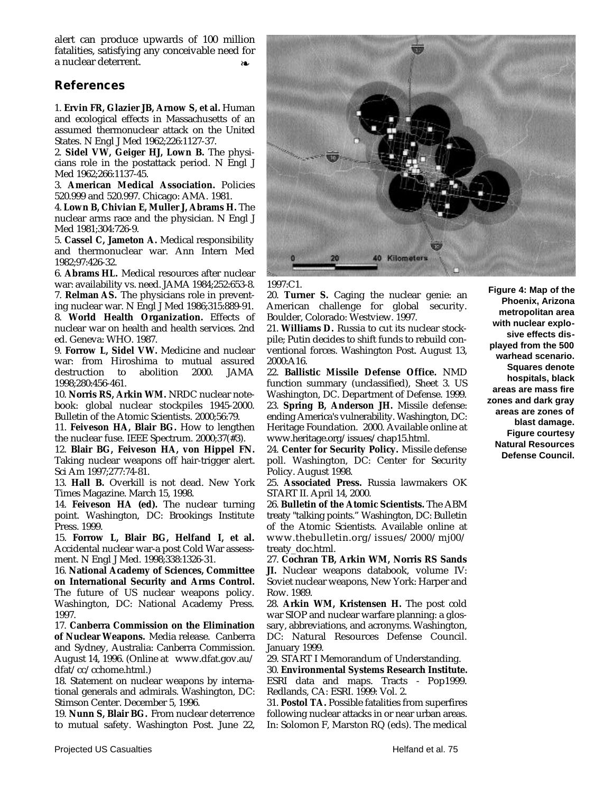alert can produce upwards of 100 million fatalities, satisfying any conceivable need for a nuclear deterrent. ❧

## **References**

1. **Ervin FR, Glazier JB, Arnow S, et al.** Human and ecological effects in Massachusetts of an assumed thermonuclear attack on the United States. N Engl J Med 1962;226:1127-37.

2. **Sidel VW, Geiger HJ, Lown B.** The physicians role in the postattack period. N Engl J Med 1962;266:1137-45.

3. **American Medical Association.** Policies 520.999 and 520.997. Chicago: AMA. 1981.

4. **Lown B, Chivian E, Muller J, Abrams H.** The nuclear arms race and the physician. N Engl J Med 1981;304:726-9.

5. **Cassel C, Jameton A.** Medical responsibility and thermonuclear war. Ann Intern Med 1982;97:426-32.

6. **Abrams HL.** Medical resources after nuclear war: availability vs. need. JAMA 1984;252:653-8. 7. **Relman AS.** The physicians role in prevent-

ing nuclear war. N Engl J Med 1986;315:889-91. 8. **World Health Organization.** Effects of nuclear war on health and health services. 2nd ed. Geneva: WHO. 1987.

9. **Forrow L, Sidel VW.** Medicine and nuclear war: from Hiroshima to mutual assured destruction to abolition 2000. JAMA 1998;280:456-461.

10. **Norris RS, Arkin WM.** NRDC nuclear notebook: global nuclear stockpiles 1945-2000. Bulletin of the Atomic Scientists. 2000;56:79.

11. **Feiveson HA, Blair BG.** How to lengthen the nuclear fuse. IEEE Spectrum. 2000;37(#3).

12. **Blair BG, Feiveson HA, von Hippel FN.** Taking nuclear weapons off hair-trigger alert. Sci Am 1997;277:74-81.

13. **Hall B.** Overkill is not dead. New York Times Magazine. March 15, 1998.

14. **Feiveson HA (ed).** The nuclear turning point. Washington, DC: Brookings Institute Press. 1999.

15. **Forrow L, Blair BG, Helfand I, et al.** Accidental nuclear war-a post Cold War assessment. N Engl J Med. 1998;338:1326-31.

16. **National Academy of Sciences, Committee on International Security and Arms Control.** The future of US nuclear weapons policy. Washington, DC: National Academy Press. 1997.

17. **Canberra Commission on the Elimination of Nuclear Weapons.** Media release. Canberra and Sydney, Australia: Canberra Commission. August 14, 1996. (Online at www.dfat.gov.au/ dfat/cc/cchome.html.)

18. Statement on nuclear weapons by international generals and admirals. Washington, DC: Stimson Center. December 5, 1996.

19. **Nunn S, Blair BG.** From nuclear deterrence to mutual safety. Washington Post. June 22,



1997:C1.

20. **Turner S.** Caging the nuclear genie: an American challenge for global security. Boulder, Colorado: Westview. 1997.

21. **Williams D.** Russia to cut its nuclear stockpile; Putin decides to shift funds to rebuild conventional forces. Washington Post. August 13, 2000:A16.

22. **Ballistic Missile Defense Office.** NMD function summary (unclassified), Sheet 3. US Washington, DC. Department of Defense. 1999. 23. **Spring B, Anderson JH.** Missile defense: ending America's vulnerability. Washington, DC: Heritage Foundation. 2000. Available online at www.heritage.org/issues/chap15.html.

24. **Center for Security Policy.** Missile defense poll. Washington, DC: Center for Security Policy. August 1998.

25. **Associated Press.** Russia lawmakers OK START II. April 14, 2000.

26. **Bulletin of the Atomic Scientists.** The ABM treaty "talking points." Washington, DC: Bulletin of the Atomic Scientists. Available online at www.thebulletin.org/issues/2000/mj00/ treaty\_doc.html.

27. **Cochran TB, Arkin WM, Norris RS Sands JI.** Nuclear weapons databook, volume IV: Soviet nuclear weapons, New York: Harper and Row. 1989.

28. **Arkin WM, Kristensen H.** The post cold war SIOP and nuclear warfare planning: a glossary, abbreviations, and acronyms. Washington, DC: Natural Resources Defense Council. January 1999.

29. START I Memorandum of Understanding.

30. **Environmental Systems Research Institute.** ESRI data and maps. Tracts - Pop1999. Redlands, CA: ESRI. 1999: Vol. 2.

31. **Postol TA.** Possible fatalities from superfires following nuclear attacks in or near urban areas. In: Solomon F, Marston RQ (eds). The medical

**Figure 4: Map of the Phoenix, Arizona metropolitan area with nuclear explosive effects displayed from the 500 warhead scenario. Squares denote hospitals, black areas are mass fire zones and dark gray areas are zones of blast damage. Figure courtesy Natural Resources Defense Council.**